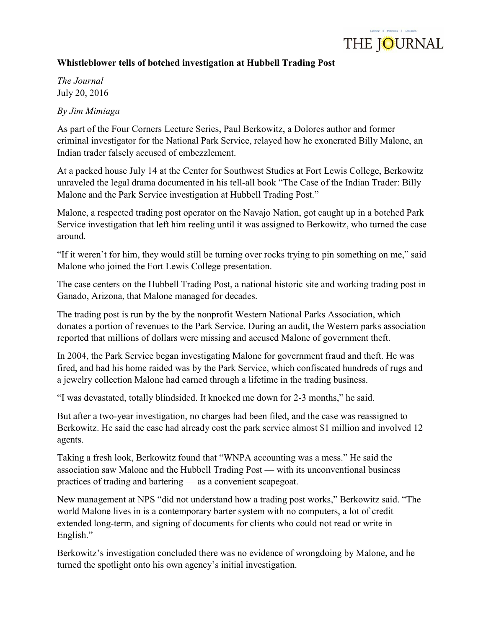

## Whistleblower tells of botched investigation at Hubbell Trading Post

The Journal July 20, 2016

By Jim Mimiaga

As part of the Four Corners Lecture Series, Paul Berkowitz, a Dolores author and former criminal investigator for the National Park Service, relayed how he exonerated Billy Malone, an Indian trader falsely accused of embezzlement.

At a packed house July 14 at the Center for Southwest Studies at Fort Lewis College, Berkowitz unraveled the legal drama documented in his tell-all book "The Case of the Indian Trader: Billy Malone and the Park Service investigation at Hubbell Trading Post."

Malone, a respected trading post operator on the Navajo Nation, got caught up in a botched Park Service investigation that left him reeling until it was assigned to Berkowitz, who turned the case around.

"If it weren't for him, they would still be turning over rocks trying to pin something on me," said Malone who joined the Fort Lewis College presentation.

The case centers on the Hubbell Trading Post, a national historic site and working trading post in Ganado, Arizona, that Malone managed for decades.

The trading post is run by the by the nonprofit Western National Parks Association, which donates a portion of revenues to the Park Service. During an audit, the Western parks association reported that millions of dollars were missing and accused Malone of government theft.

In 2004, the Park Service began investigating Malone for government fraud and theft. He was fired, and had his home raided was by the Park Service, which confiscated hundreds of rugs and a jewelry collection Malone had earned through a lifetime in the trading business.

"I was devastated, totally blindsided. It knocked me down for 2-3 months," he said.

But after a two-year investigation, no charges had been filed, and the case was reassigned to Berkowitz. He said the case had already cost the park service almost \$1 million and involved 12 agents.

Taking a fresh look, Berkowitz found that "WNPA accounting was a mess." He said the association saw Malone and the Hubbell Trading Post — with its unconventional business practices of trading and bartering — as a convenient scapegoat.

New management at NPS "did not understand how a trading post works," Berkowitz said. "The world Malone lives in is a contemporary barter system with no computers, a lot of credit extended long-term, and signing of documents for clients who could not read or write in English."

Berkowitz's investigation concluded there was no evidence of wrongdoing by Malone, and he turned the spotlight onto his own agency's initial investigation.